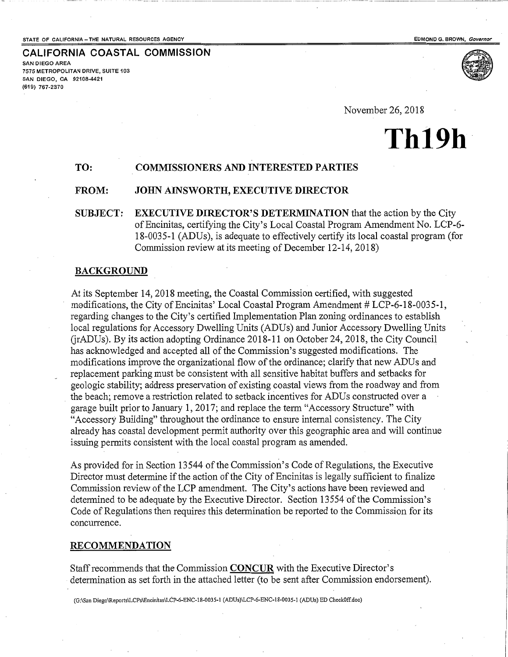**CALIFORNIA COASTAL COMMISSION** 



SAN DIEGO AREA 7575 METROPOLITAN DRIVE, SUITE 103 SAN DIEGO, CA 92108-4421 {619) 767-2370

November 26, 2018

# **Th19h**

# TO: COMMISSIONERS AND INTERESTED PARTIES

### FROM: JOHN AINSWORTH, EXECUTIVE DIRECTOR

SUBJECT: EXECUTIVE DIRECTOR'S DETERMINATION that the action by the City of Encinitas, certifying the City's Local Coastal Program Amendment No. LCP-6- 18-0035-1 (ADUs), is adequate to effectively certify its local coastal program (for Commission review at its meeting of December 12-14, 2018)

## BACKGROUND

At its September 14, 2018 meeting, the Coastal Commission certified, with suggested modifications, the City of Encinitas' Local Coastal Program Amendment  $# LCP-6-18-0035-1$ , regarding changes to the City's certified Implementation Plan zoning ordinances to establish local regulations for Accessory Dwelling Units (ADUs) and Junior Accessory Dwelling Units GrADUs). By its action adopting Ordinance 2018-11 on October 24,2018, the City Council has acknowledged and accepted all of the Commission's suggested modifications. The modifications improve the organizational flow of the ordinance; clarify that new ADUs and replacement parking must be consistent with all sensitive habitat buffers and setbacks for geologic stability; address preservation of existing coastal views from the roadway and from . the beach; remove a restriction related to setback incentives for ADUs constructed over a garage built prior to January 1, 2017; and replace the term "Accessory Structure" with "Accessory Building" throughout the ordinance to ensure internal consistency. The City already has coastal development permit authority over this geographic area and will continue issuing permits consistent with the local coastal program as amended.

As provided for in Section 13544 of the Commission's Code of Regulations, the Executive Director must determine if the action of the City of Encinitas is legally sufficient to finalize Commission review of the LCP amendment. The City's actions have been reviewed and determined to be adequate by the Executive Director. Section 13554 of the Commission's Code of Regulations then requires this determination be reported to the Commission for its concurrence.

#### RECOMMENDATION

Staff recommends that the Commission **CONCUR** with the Executive Director's determination as set forth in the attached letter (to be sent after Commission endorsement).

(G:\San Diego\Reports\LCPs\Encinitas\LCP-6-ENC-18-0035-1 (ADUs)\LCP-6-ENC-18-0035-1 (ADUs) ED CheckOff.doc)